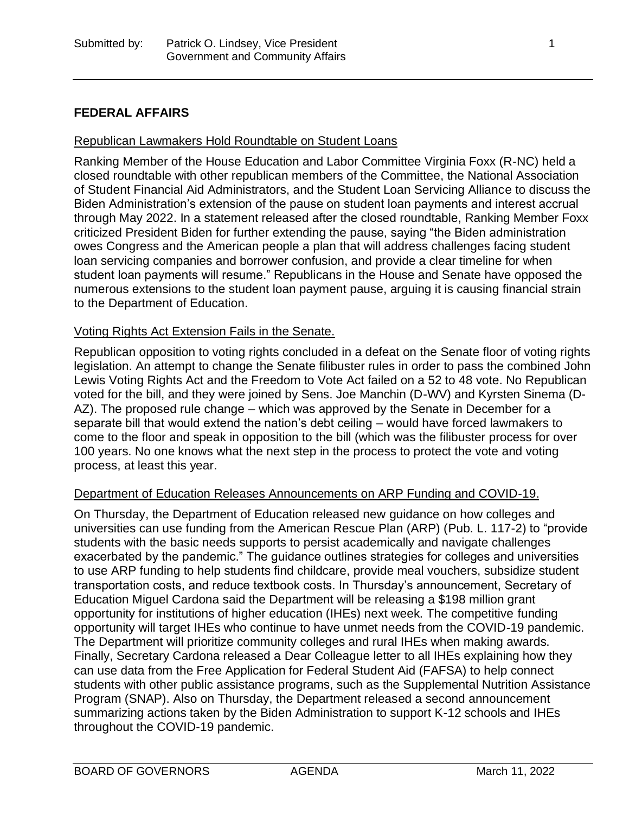## **FEDERAL AFFAIRS**

#### Republican Lawmakers Hold Roundtable on Student Loans

Ranking Member of the House Education and Labor Committee Virginia Foxx (R-NC) held a closed roundtable with other republican members of the Committee, the National Association of Student Financial Aid Administrators, and the Student Loan Servicing Alliance to discuss the Biden Administration's extension of the pause on student loan payments and interest accrual through May 2022. In a statement released after the closed roundtable, Ranking Member Foxx criticized President Biden for further extending the pause, saying "the Biden administration owes Congress and the American people a plan that will address challenges facing student loan servicing companies and borrower confusion, and provide a clear timeline for when student loan payments will resume." Republicans in the House and Senate have opposed the numerous extensions to the student loan payment pause, arguing it is causing financial strain to the Department of Education.

#### Voting Rights Act Extension Fails in the Senate.

Republican opposition to voting rights concluded in a defeat on the Senate floor of voting rights legislation. An attempt to change the Senate filibuster rules in order to pass the combined John Lewis Voting Rights Act and the Freedom to Vote Act failed on a 52 to 48 vote. No Republican voted for the bill, and they were joined by Sens. Joe Manchin (D-WV) and Kyrsten Sinema (D-AZ). The proposed rule change – which was approved by the Senate in December for a separate bill that would extend the nation's debt ceiling – would have forced lawmakers to come to the floor and speak in opposition to the bill (which was the filibuster process for over 100 years. No one knows what the next step in the process to protect the vote and voting process, at least this year.

#### Department of Education Releases Announcements on ARP Funding and COVID-19.

On Thursday, the Department of Education released new guidance on how colleges and universities can use funding from the American Rescue Plan (ARP) (Pub. L. 117-2) to "provide students with the basic needs supports to persist academically and navigate challenges exacerbated by the pandemic." The guidance outlines strategies for colleges and universities to use ARP funding to help students find childcare, provide meal vouchers, subsidize student transportation costs, and reduce textbook costs. In Thursday's announcement, Secretary of Education Miguel Cardona said the Department will be releasing a \$198 million grant opportunity for institutions of higher education (IHEs) next week. The competitive funding opportunity will target IHEs who continue to have unmet needs from the COVID-19 pandemic. The Department will prioritize community colleges and rural IHEs when making awards. Finally, Secretary Cardona released a Dear Colleague letter to all IHEs explaining how they can use data from the Free Application for Federal Student Aid (FAFSA) to help connect students with other public assistance programs, such as the Supplemental Nutrition Assistance Program (SNAP). Also on Thursday, the Department released a second announcement summarizing actions taken by the Biden Administration to support K-12 schools and IHEs throughout the COVID-19 pandemic.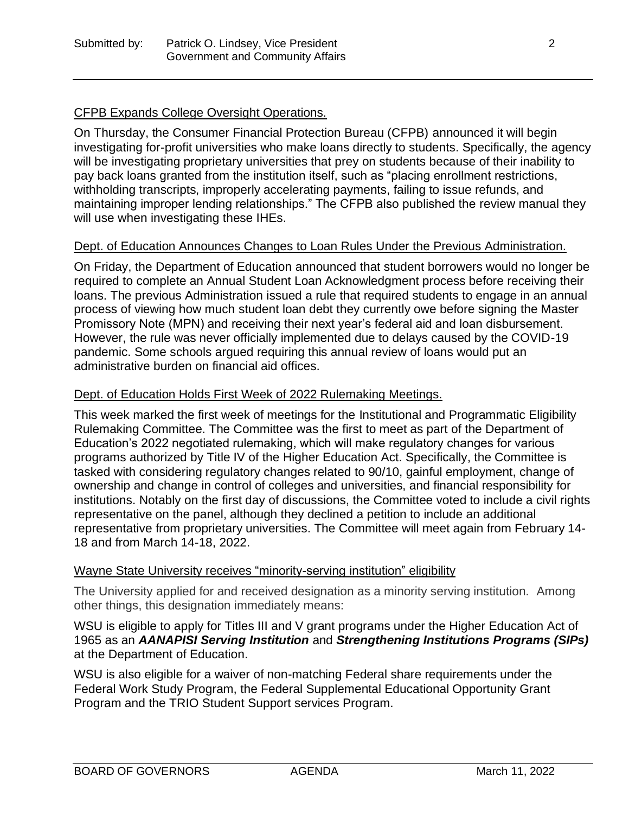## CFPB Expands College Oversight Operations.

On Thursday, the Consumer Financial Protection Bureau (CFPB) announced it will begin investigating for-profit universities who make loans directly to students. Specifically, the agency will be investigating proprietary universities that prey on students because of their inability to pay back loans granted from the institution itself, such as "placing enrollment restrictions, withholding transcripts, improperly accelerating payments, failing to issue refunds, and maintaining improper lending relationships." The CFPB also published the review manual they will use when investigating these IHEs.

#### Dept. of Education Announces Changes to Loan Rules Under the Previous Administration.

On Friday, the Department of Education announced that student borrowers would no longer be required to complete an Annual Student Loan Acknowledgment process before receiving their loans. The previous Administration issued a rule that required students to engage in an annual process of viewing how much student loan debt they currently owe before signing the Master Promissory Note (MPN) and receiving their next year's federal aid and loan disbursement. However, the rule was never officially implemented due to delays caused by the COVID-19 pandemic. Some schools argued requiring this annual review of loans would put an administrative burden on financial aid offices.

## Dept. of Education Holds First Week of 2022 Rulemaking Meetings.

This week marked the first week of meetings for the Institutional and Programmatic Eligibility Rulemaking Committee. The Committee was the first to meet as part of the Department of Education's 2022 negotiated rulemaking, which will make regulatory changes for various programs authorized by Title IV of the Higher Education Act. Specifically, the Committee is tasked with considering regulatory changes related to 90/10, gainful employment, change of ownership and change in control of colleges and universities, and financial responsibility for institutions. Notably on the first day of discussions, the Committee voted to include a civil rights representative on the panel, although they declined a petition to include an additional representative from proprietary universities. The Committee will meet again from February 14- 18 and from March 14-18, 2022.

#### Wayne State University receives "minority-serving institution" eligibility

The University applied for and received designation as a minority serving institution. Among other things, this designation immediately means:

WSU is eligible to apply for Titles III and V grant programs under the Higher Education Act of 1965 as an *AANAPISI Serving Institution* and *Strengthening Institutions Programs (SIPs)* at the Department of Education.

WSU is also eligible for a waiver of non-matching Federal share requirements under the Federal Work Study Program, the Federal Supplemental Educational Opportunity Grant Program and the TRIO Student Support services Program.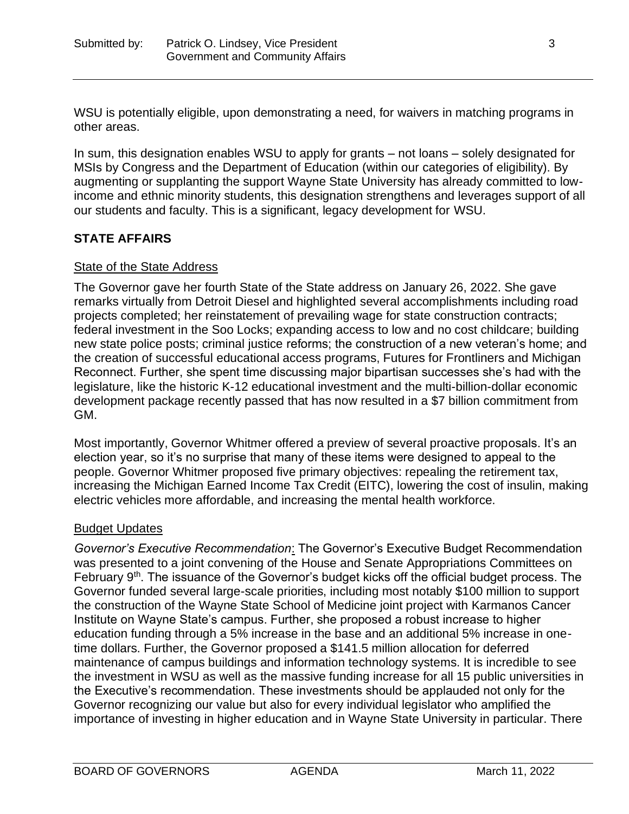WSU is potentially eligible, upon demonstrating a need, for waivers in matching programs in other areas.

In sum, this designation enables WSU to apply for grants – not loans – solely designated for MSIs by Congress and the Department of Education (within our categories of eligibility). By augmenting or supplanting the support Wayne State University has already committed to lowincome and ethnic minority students, this designation strengthens and leverages support of all our students and faculty. This is a significant, legacy development for WSU.

# **STATE AFFAIRS**

## State of the State Address

The Governor gave her fourth State of the State address on January 26, 2022. She gave remarks virtually from Detroit Diesel and highlighted several accomplishments including road projects completed; her reinstatement of prevailing wage for state construction contracts; federal investment in the Soo Locks; expanding access to low and no cost childcare; building new state police posts; criminal justice reforms; the construction of a new veteran's home; and the creation of successful educational access programs, Futures for Frontliners and Michigan Reconnect. Further, she spent time discussing major bipartisan successes she's had with the legislature, like the historic K-12 educational investment and the multi-billion-dollar economic development package recently passed that has now resulted in a \$7 billion commitment from GM.

Most importantly, Governor Whitmer offered a preview of several proactive proposals. It's an election year, so it's no surprise that many of these items were designed to appeal to the people. Governor Whitmer proposed five primary objectives: repealing the retirement tax, increasing the Michigan Earned Income Tax Credit (EITC), lowering the cost of insulin, making electric vehicles more affordable, and increasing the mental health workforce.

## Budget Updates

*Governor's Executive Recommendation*: The Governor's Executive Budget Recommendation was presented to a joint convening of the House and Senate Appropriations Committees on February 9<sup>th</sup>. The issuance of the Governor's budget kicks off the official budget process. The Governor funded several large-scale priorities, including most notably \$100 million to support the construction of the Wayne State School of Medicine joint project with Karmanos Cancer Institute on Wayne State's campus. Further, she proposed a robust increase to higher education funding through a 5% increase in the base and an additional 5% increase in onetime dollars. Further, the Governor proposed a \$141.5 million allocation for deferred maintenance of campus buildings and information technology systems. It is incredible to see the investment in WSU as well as the massive funding increase for all 15 public universities in the Executive's recommendation. These investments should be applauded not only for the Governor recognizing our value but also for every individual legislator who amplified the importance of investing in higher education and in Wayne State University in particular. There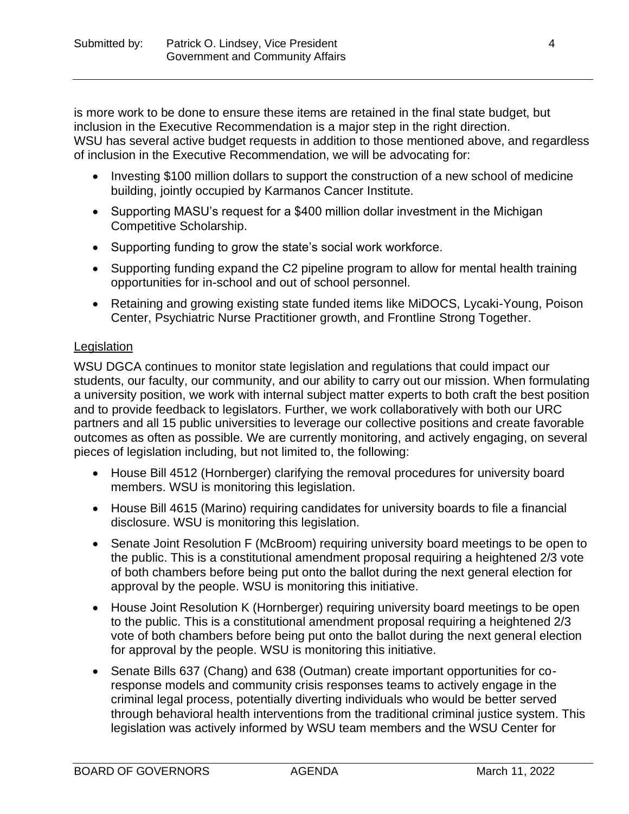is more work to be done to ensure these items are retained in the final state budget, but inclusion in the Executive Recommendation is a major step in the right direction. WSU has several active budget requests in addition to those mentioned above, and regardless of inclusion in the Executive Recommendation, we will be advocating for:

- Investing \$100 million dollars to support the construction of a new school of medicine building, jointly occupied by Karmanos Cancer Institute.
- Supporting MASU's request for a \$400 million dollar investment in the Michigan Competitive Scholarship.
- Supporting funding to grow the state's social work workforce.
- Supporting funding expand the C2 pipeline program to allow for mental health training opportunities for in-school and out of school personnel.
- Retaining and growing existing state funded items like MiDOCS, Lycaki-Young, Poison Center, Psychiatric Nurse Practitioner growth, and Frontline Strong Together.

# **Legislation**

WSU DGCA continues to monitor state legislation and regulations that could impact our students, our faculty, our community, and our ability to carry out our mission. When formulating a university position, we work with internal subject matter experts to both craft the best position and to provide feedback to legislators. Further, we work collaboratively with both our URC partners and all 15 public universities to leverage our collective positions and create favorable outcomes as often as possible. We are currently monitoring, and actively engaging, on several pieces of legislation including, but not limited to, the following:

- House Bill 4512 (Hornberger) clarifying the removal procedures for university board members. WSU is monitoring this legislation.
- House Bill 4615 (Marino) requiring candidates for university boards to file a financial disclosure. WSU is monitoring this legislation.
- Senate Joint Resolution F (McBroom) requiring university board meetings to be open to the public. This is a constitutional amendment proposal requiring a heightened 2/3 vote of both chambers before being put onto the ballot during the next general election for approval by the people. WSU is monitoring this initiative.
- House Joint Resolution K (Hornberger) requiring university board meetings to be open to the public. This is a constitutional amendment proposal requiring a heightened 2/3 vote of both chambers before being put onto the ballot during the next general election for approval by the people. WSU is monitoring this initiative.
- Senate Bills 637 (Chang) and 638 (Outman) create important opportunities for coresponse models and community crisis responses teams to actively engage in the criminal legal process, potentially diverting individuals who would be better served through behavioral health interventions from the traditional criminal justice system. This legislation was actively informed by WSU team members and the WSU Center for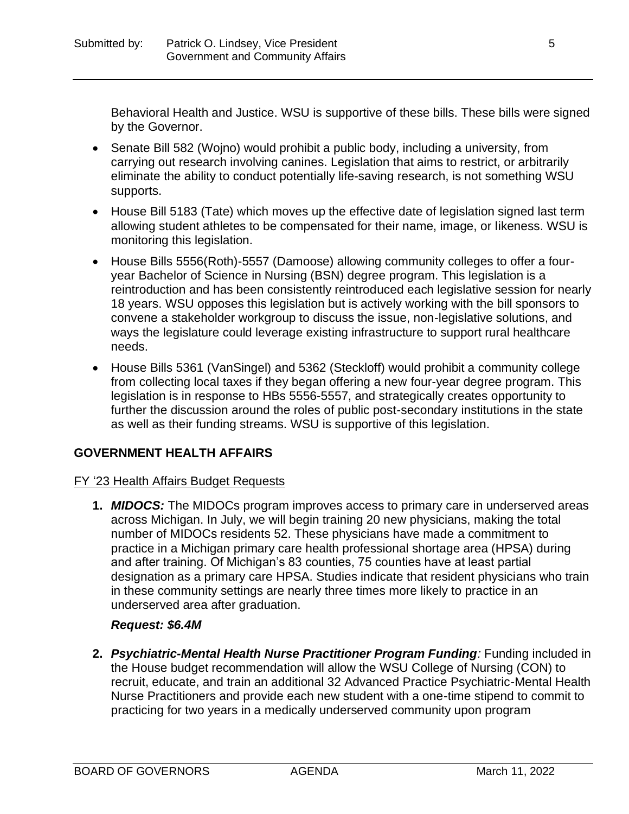Behavioral Health and Justice. WSU is supportive of these bills. These bills were signed by the Governor.

- Senate Bill 582 (Wojno) would prohibit a public body, including a university, from carrying out research involving canines. Legislation that aims to restrict, or arbitrarily eliminate the ability to conduct potentially life-saving research, is not something WSU supports.
- House Bill 5183 (Tate) which moves up the effective date of legislation signed last term allowing student athletes to be compensated for their name, image, or likeness. WSU is monitoring this legislation.
- House Bills 5556(Roth)-5557 (Damoose) allowing community colleges to offer a fouryear Bachelor of Science in Nursing (BSN) degree program. This legislation is a reintroduction and has been consistently reintroduced each legislative session for nearly 18 years. WSU opposes this legislation but is actively working with the bill sponsors to convene a stakeholder workgroup to discuss the issue, non-legislative solutions, and ways the legislature could leverage existing infrastructure to support rural healthcare needs.
- House Bills 5361 (VanSingel) and 5362 (Steckloff) would prohibit a community college from collecting local taxes if they began offering a new four-year degree program. This legislation is in response to HBs 5556-5557, and strategically creates opportunity to further the discussion around the roles of public post-secondary institutions in the state as well as their funding streams. WSU is supportive of this legislation.

# **GOVERNMENT HEALTH AFFAIRS**

# FY '23 Health Affairs Budget Requests

**1.** *MIDOCS:* The MIDOCs program improves access to primary care in underserved areas across Michigan. In July, we will begin training 20 new physicians, making the total number of MIDOCs residents 52. These physicians have made a commitment to practice in a Michigan primary care health professional shortage area (HPSA) during and after training. Of Michigan's 83 counties, 75 counties have at least partial designation as a primary care HPSA. Studies indicate that resident physicians who train in these community settings are nearly three times more likely to practice in an underserved area after graduation.

# *Request: \$6.4M*

**2.** *Psychiatric-Mental Health Nurse Practitioner Program Funding:* Funding included in the House budget recommendation will allow the WSU College of Nursing (CON) to recruit, educate, and train an additional 32 Advanced Practice Psychiatric-Mental Health Nurse Practitioners and provide each new student with a one-time stipend to commit to practicing for two years in a medically underserved community upon program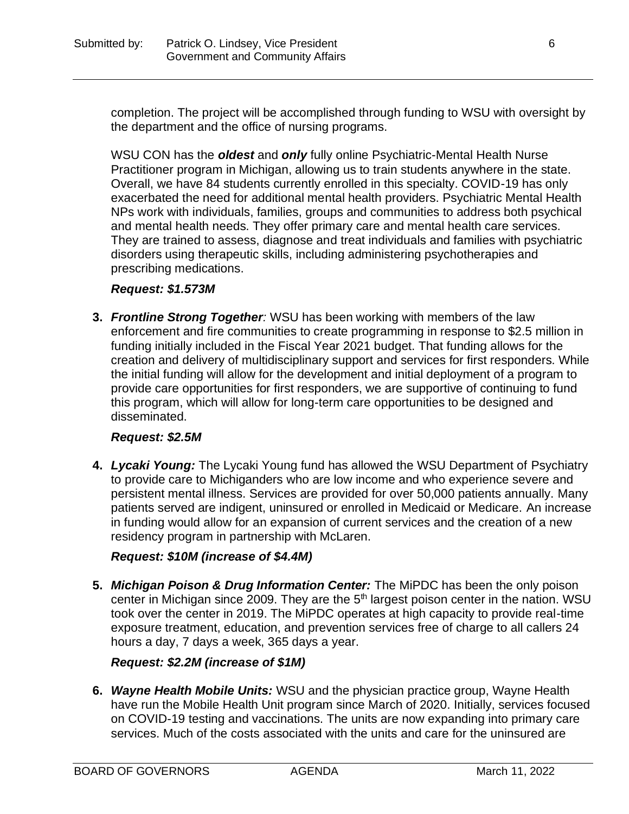completion. The project will be accomplished through funding to WSU with oversight by the department and the office of nursing programs.

WSU CON has the *oldest* and *only* fully online Psychiatric-Mental Health Nurse Practitioner program in Michigan, allowing us to train students anywhere in the state. Overall, we have 84 students currently enrolled in this specialty. COVID-19 has only exacerbated the need for additional mental health providers. Psychiatric Mental Health NPs work with individuals, families, groups and communities to address both psychical and mental health needs. They offer primary care and mental health care services. They are trained to assess, diagnose and treat individuals and families with psychiatric disorders using therapeutic skills, including administering psychotherapies and prescribing medications.

## *Request: \$1.573M*

**3.** *Frontline Strong Together:* WSU has been working with members of the law enforcement and fire communities to create programming in response to \$2.5 million in funding initially included in the Fiscal Year 2021 budget. That funding allows for the creation and delivery of multidisciplinary support and services for first responders. While the initial funding will allow for the development and initial deployment of a program to provide care opportunities for first responders, we are supportive of continuing to fund this program, which will allow for long-term care opportunities to be designed and disseminated.

## *Request: \$2.5M*

**4.** *Lycaki Young:* The Lycaki Young fund has allowed the WSU Department of Psychiatry to provide care to Michiganders who are low income and who experience severe and persistent mental illness. Services are provided for over 50,000 patients annually. Many patients served are indigent, uninsured or enrolled in Medicaid or Medicare. An increase in funding would allow for an expansion of current services and the creation of a new residency program in partnership with McLaren.

# *Request: \$10M (increase of \$4.4M)*

**5.** *Michigan Poison & Drug Information Center:* The MiPDC has been the only poison center in Michigan since 2009. They are the 5<sup>th</sup> largest poison center in the nation. WSU took over the center in 2019. The MiPDC operates at high capacity to provide real-time exposure treatment, education, and prevention services free of charge to all callers 24 hours a day, 7 days a week, 365 days a year.

# *Request: \$2.2M (increase of \$1M)*

**6.** *Wayne Health Mobile Units:* WSU and the physician practice group, Wayne Health have run the Mobile Health Unit program since March of 2020. Initially, services focused on COVID-19 testing and vaccinations. The units are now expanding into primary care services. Much of the costs associated with the units and care for the uninsured are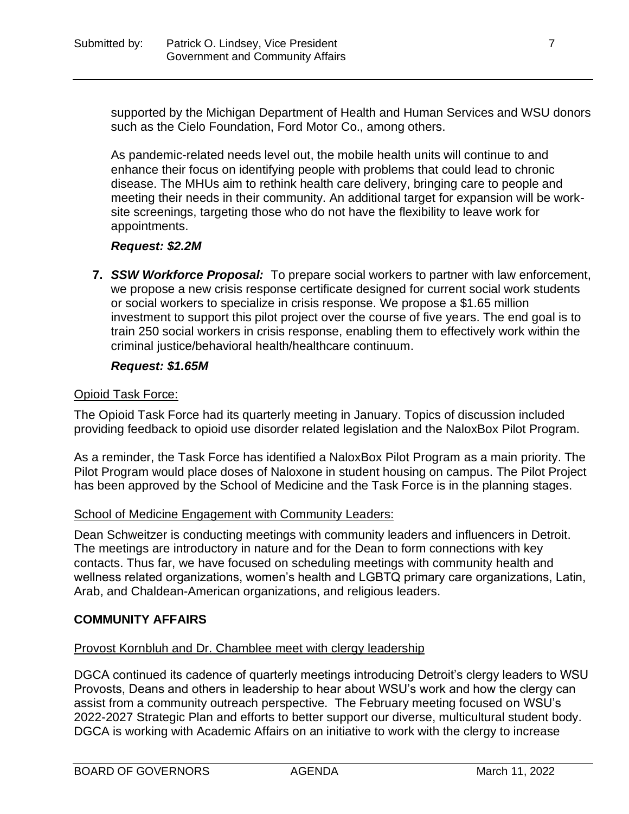supported by the Michigan Department of Health and Human Services and WSU donors such as the Cielo Foundation, Ford Motor Co., among others.

As pandemic-related needs level out, the mobile health units will continue to and enhance their focus on identifying people with problems that could lead to chronic disease. The MHUs aim to rethink health care delivery, bringing care to people and meeting their needs in their community. An additional target for expansion will be worksite screenings, targeting those who do not have the flexibility to leave work for appointments.

#### *Request: \$2.2M*

**7.** *SSW Workforce Proposal:*To prepare social workers to partner with law enforcement, we propose a new crisis response certificate designed for current social work students or social workers to specialize in crisis response. We propose a \$1.65 million investment to support this pilot project over the course of five years. The end goal is to train 250 social workers in crisis response, enabling them to effectively work within the criminal justice/behavioral health/healthcare continuum.

#### *Request: \$1.65M*

#### Opioid Task Force:

The Opioid Task Force had its quarterly meeting in January. Topics of discussion included providing feedback to opioid use disorder related legislation and the NaloxBox Pilot Program.

As a reminder, the Task Force has identified a NaloxBox Pilot Program as a main priority. The Pilot Program would place doses of Naloxone in student housing on campus. The Pilot Project has been approved by the School of Medicine and the Task Force is in the planning stages.

#### School of Medicine Engagement with Community Leaders:

Dean Schweitzer is conducting meetings with community leaders and influencers in Detroit. The meetings are introductory in nature and for the Dean to form connections with key contacts. Thus far, we have focused on scheduling meetings with community health and wellness related organizations, women's health and LGBTQ primary care organizations, Latin, Arab, and Chaldean-American organizations, and religious leaders.

## **COMMUNITY AFFAIRS**

## Provost Kornbluh and Dr. Chamblee meet with clergy leadership

DGCA continued its cadence of quarterly meetings introducing Detroit's clergy leaders to WSU Provosts, Deans and others in leadership to hear about WSU's work and how the clergy can assist from a community outreach perspective. The February meeting focused on WSU's 2022-2027 Strategic Plan and efforts to better support our diverse, multicultural student body. DGCA is working with Academic Affairs on an initiative to work with the clergy to increase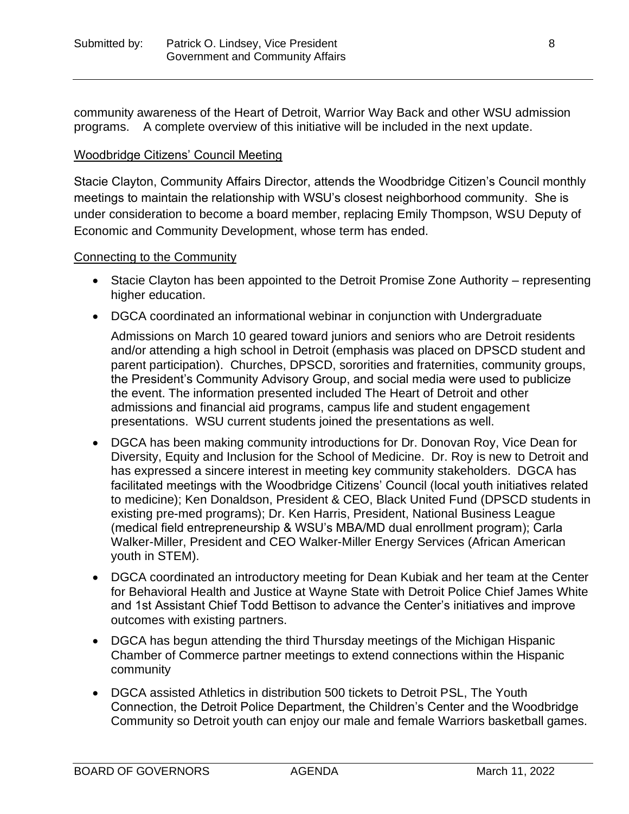community awareness of the Heart of Detroit, Warrior Way Back and other WSU admission programs. A complete overview of this initiative will be included in the next update.

#### Woodbridge Citizens' Council Meeting

Stacie Clayton, Community Affairs Director, attends the Woodbridge Citizen's Council monthly meetings to maintain the relationship with WSU's closest neighborhood community. She is under consideration to become a board member, replacing Emily Thompson, WSU Deputy of Economic and Community Development, whose term has ended.

#### Connecting to the Community

- Stacie Clayton has been appointed to the Detroit Promise Zone Authority representing higher education.
- DGCA coordinated an informational webinar in conjunction with Undergraduate

Admissions on March 10 geared toward juniors and seniors who are Detroit residents and/or attending a high school in Detroit (emphasis was placed on DPSCD student and parent participation). Churches, DPSCD, sororities and fraternities, community groups, the President's Community Advisory Group, and social media were used to publicize the event. The information presented included The Heart of Detroit and other admissions and financial aid programs, campus life and student engagement presentations. WSU current students joined the presentations as well.

- DGCA has been making community introductions for Dr. Donovan Roy, Vice Dean for Diversity, Equity and Inclusion for the School of Medicine. Dr. Roy is new to Detroit and has expressed a sincere interest in meeting key community stakeholders. DGCA has facilitated meetings with the Woodbridge Citizens' Council (local youth initiatives related to medicine); Ken Donaldson, President & CEO, Black United Fund (DPSCD students in existing pre-med programs); Dr. Ken Harris, President, National Business League (medical field entrepreneurship & WSU's MBA/MD dual enrollment program); Carla Walker-Miller, President and CEO Walker-Miller Energy Services (African American youth in STEM).
- DGCA coordinated an introductory meeting for Dean Kubiak and her team at the Center for Behavioral Health and Justice at Wayne State with Detroit Police Chief James White and 1st Assistant Chief Todd Bettison to advance the Center's initiatives and improve outcomes with existing partners.
- DGCA has begun attending the third Thursday meetings of the Michigan Hispanic Chamber of Commerce partner meetings to extend connections within the Hispanic community
- DGCA assisted Athletics in distribution 500 tickets to Detroit PSL, The Youth Connection, the Detroit Police Department, the Children's Center and the Woodbridge Community so Detroit youth can enjoy our male and female Warriors basketball games.